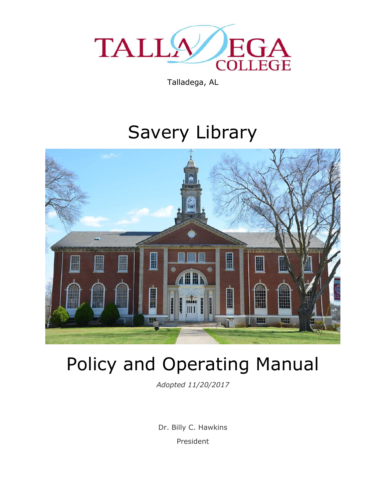

Talladega, AL

# Savery Library



# Policy and Operating Manual

*Adopted 11/20/2017*

Dr. Billy C. Hawkins President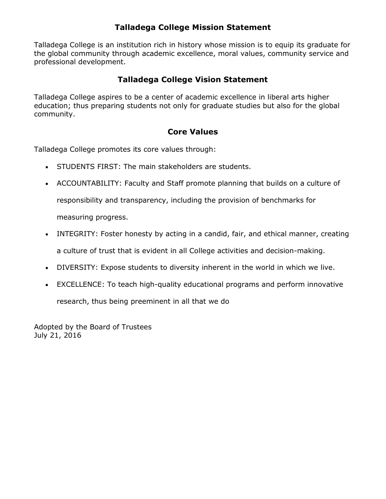### **Talladega College Mission Statement**

Talladega College is an institution rich in history whose mission is to equip its graduate for the global community through academic excellence, moral values, community service and professional development.

### **Talladega College Vision Statement**

Talladega College aspires to be a center of academic excellence in liberal arts higher education; thus preparing students not only for graduate studies but also for the global community.

### **Core Values**

Talladega College promotes its core values through:

- STUDENTS FIRST: The main stakeholders are students.
- ACCOUNTABILITY: Faculty and Staff promote planning that builds on a culture of

responsibility and transparency, including the provision of benchmarks for

measuring progress.

- INTEGRITY: Foster honesty by acting in a candid, fair, and ethical manner, creating a culture of trust that is evident in all College activities and decision-making.
- DIVERSITY: Expose students to diversity inherent in the world in which we live.
- EXCELLENCE: To teach high-quality educational programs and perform innovative

research, thus being preeminent in all that we do

Adopted by the Board of Trustees July 21, 2016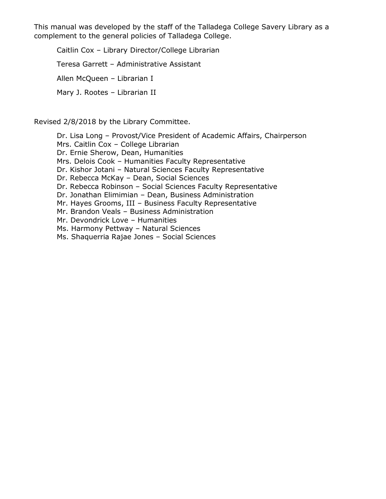This manual was developed by the staff of the Talladega College Savery Library as a complement to the general policies of Talladega College.

Caitlin Cox – Library Director/College Librarian Teresa Garrett – Administrative Assistant Allen McQueen – Librarian I Mary J. Rootes – Librarian II

Revised 2/8/2018 by the Library Committee.

Dr. Lisa Long – Provost/Vice President of Academic Affairs, Chairperson Mrs. Caitlin Cox – College Librarian Dr. Ernie Sherow, Dean, Humanities Mrs. Delois Cook – Humanities Faculty Representative Dr. Kishor Jotani – Natural Sciences Faculty Representative Dr. Rebecca McKay – Dean, Social Sciences Dr. Rebecca Robinson – Social Sciences Faculty Representative Dr. Jonathan Elimimian – Dean, Business Administration Mr. Hayes Grooms, III – Business Faculty Representative Mr. Brandon Veals – Business Administration Mr. Devondrick Love – Humanities Ms. Harmony Pettway – Natural Sciences Ms. Shaquerria Rajae Jones – Social Sciences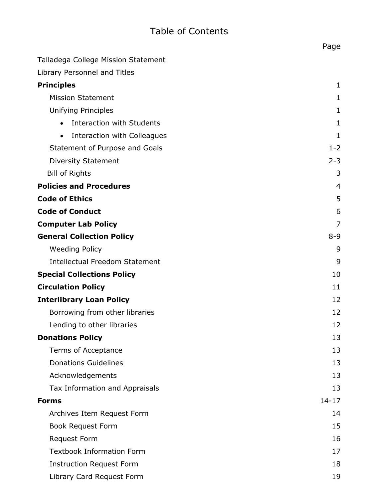# Table of Contents

|                                               | Page           |
|-----------------------------------------------|----------------|
| Talladega College Mission Statement           |                |
| Library Personnel and Titles                  |                |
| <b>Principles</b>                             | 1              |
| <b>Mission Statement</b>                      | 1              |
| <b>Unifying Principles</b>                    | 1              |
| <b>Interaction with Students</b><br>$\bullet$ | 1              |
| Interaction with Colleagues<br>$\bullet$      | 1              |
| Statement of Purpose and Goals                | $1 - 2$        |
| <b>Diversity Statement</b>                    | $2 - 3$        |
| <b>Bill of Rights</b>                         | 3              |
| <b>Policies and Procedures</b>                | $\overline{4}$ |
| <b>Code of Ethics</b>                         | 5              |
| <b>Code of Conduct</b>                        | 6              |
| <b>Computer Lab Policy</b>                    | 7              |
| <b>General Collection Policy</b>              | $8 - 9$        |
| <b>Weeding Policy</b>                         | 9              |
| <b>Intellectual Freedom Statement</b>         | 9              |
| <b>Special Collections Policy</b>             | 10             |
| <b>Circulation Policy</b>                     | 11             |
| <b>Interlibrary Loan Policy</b>               | 12             |
| Borrowing from other libraries                | 12             |
| Lending to other libraries                    | 12             |
| <b>Donations Policy</b>                       | 13             |
| Terms of Acceptance                           | 13             |
| <b>Donations Guidelines</b>                   | 13             |
| Acknowledgements                              | 13             |
| Tax Information and Appraisals                | 13             |
| <b>Forms</b>                                  | $14 - 17$      |
| Archives Item Request Form                    | 14             |
| <b>Book Request Form</b>                      | 15             |
| <b>Request Form</b>                           | 16             |
| <b>Textbook Information Form</b>              | 17             |
| <b>Instruction Request Form</b>               | 18             |
| Library Card Request Form                     | 19             |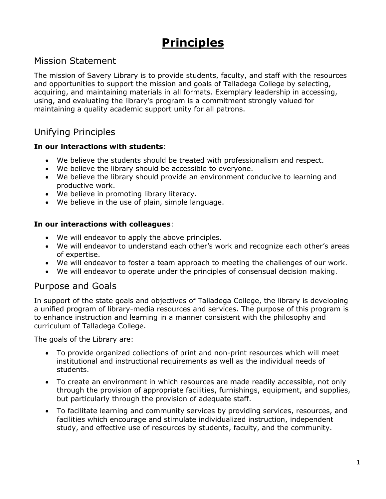# **Principles**

### Mission Statement

The mission of Savery Library is to provide students, faculty, and staff with the resources and opportunities to support the mission and goals of Talladega College by selecting, acquiring, and maintaining materials in all formats. Exemplary leadership in accessing, using, and evaluating the library's program is a commitment strongly valued for maintaining a quality academic support unity for all patrons.

## Unifying Principles

#### **In our interactions with students**:

- We believe the students should be treated with professionalism and respect.
- We believe the library should be accessible to everyone.
- We believe the library should provide an environment conducive to learning and productive work.
- We believe in promoting library literacy.
- We believe in the use of plain, simple language.

#### **In our interactions with colleagues**:

- We will endeavor to apply the above principles.
- We will endeavor to understand each other's work and recognize each other's areas of expertise.
- We will endeavor to foster a team approach to meeting the challenges of our work.
- We will endeavor to operate under the principles of consensual decision making.

### Purpose and Goals

In support of the state goals and objectives of Talladega College, the library is developing a unified program of library-media resources and services. The purpose of this program is to enhance instruction and learning in a manner consistent with the philosophy and curriculum of Talladega College.

The goals of the Library are:

- To provide organized collections of print and non-print resources which will meet institutional and instructional requirements as well as the individual needs of students.
- To create an environment in which resources are made readily accessible, not only through the provision of appropriate facilities, furnishings, equipment, and supplies, but particularly through the provision of adequate staff.
- To facilitate learning and community services by providing services, resources, and facilities which encourage and stimulate individualized instruction, independent study, and effective use of resources by students, faculty, and the community.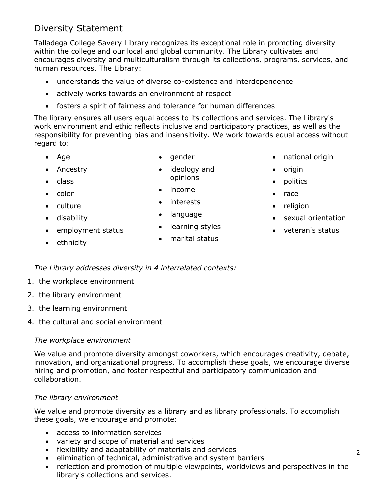# Diversity Statement

Talladega College Savery Library recognizes its exceptional role in promoting diversity within the college and our local and global community. The Library cultivates and encourages diversity and multiculturalism through its collections, programs, services, and human resources. The Library:

- understands the value of diverse co-existence and interdependence
- actively works towards an environment of respect
- fosters a spirit of fairness and tolerance for human differences

The library ensures all users equal access to its collections and services. The Library's work environment and ethic reflects inclusive and participatory practices, as well as the responsibility for preventing bias and insensitivity. We work towards equal access without regard to:

> • ideology and opinions

• Age

 $\bullet$  gender

- Ancestry
- $\bullet$  class • color

• culture disability

- income
- interests
- language
- learning styles
- marital status
- national origin
- origin
- politics
- race
- religion
- sexual orientation
- veteran's status

• ethnicity

*The Library addresses diversity in 4 interrelated contexts:*

1. the workplace environment

• employment status

- 2. the library environment
- 3. the learning environment
- 4. the cultural and social environment

### *The workplace environment*

We value and promote diversity amongst coworkers, which encourages creativity, debate, innovation, and organizational progress. To accomplish these goals, we encourage diverse hiring and promotion, and foster respectful and participatory communication and collaboration.

### *The library environment*

We value and promote diversity as a library and as library professionals. To accomplish these goals, we encourage and promote:

- access to information services
- variety and scope of material and services
- flexibility and adaptability of materials and services
- elimination of technical, administrative and system barriers
- reflection and promotion of multiple viewpoints, worldviews and perspectives in the library's collections and services.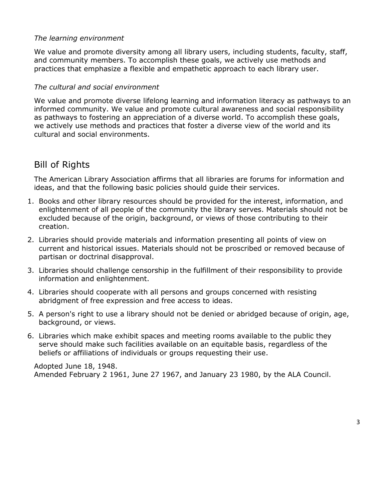#### *The learning environment*

We value and promote diversity among all library users, including students, faculty, staff, and community members. To accomplish these goals, we actively use methods and practices that emphasize a flexible and empathetic approach to each library user.

#### *The cultural and social environment*

We value and promote diverse lifelong learning and information literacy as pathways to an informed community. We value and promote cultural awareness and social responsibility as pathways to fostering an appreciation of a diverse world. To accomplish these goals, we actively use methods and practices that foster a diverse view of the world and its cultural and social environments.

### Bill of Rights

The American Library Association affirms that all libraries are forums for information and ideas, and that the following basic policies should guide their services.

- 1. Books and other library resources should be provided for the interest, information, and enlightenment of all people of the community the library serves. Materials should not be excluded because of the origin, background, or views of those contributing to their creation.
- 2. Libraries should provide materials and information presenting all points of view on current and historical issues. Materials should not be proscribed or removed because of partisan or doctrinal disapproval.
- 3. Libraries should challenge censorship in the fulfillment of their responsibility to provide information and enlightenment.
- 4. Libraries should cooperate with all persons and groups concerned with resisting abridgment of free expression and free access to ideas.
- 5. A person's right to use a library should not be denied or abridged because of origin, age, background, or views.
- 6. Libraries which make exhibit spaces and meeting rooms available to the public they serve should make such facilities available on an equitable basis, regardless of the beliefs or affiliations of individuals or groups requesting their use.

Adopted June 18, 1948. Amended February 2 1961, June 27 1967, and January 23 1980, by the ALA Council.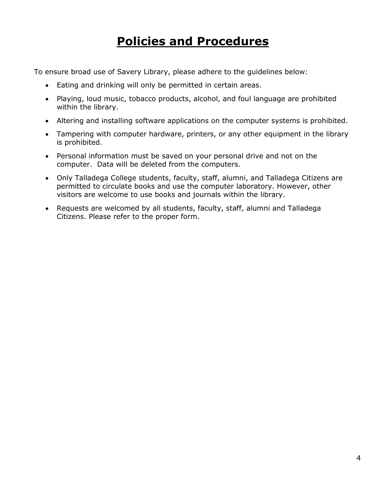# **Policies and Procedures**

To ensure broad use of Savery Library, please adhere to the guidelines below:

- Eating and drinking will only be permitted in certain areas.
- Playing, loud music, tobacco products, alcohol, and foul language are prohibited within the library.
- Altering and installing software applications on the computer systems is prohibited.
- Tampering with computer hardware, printers, or any other equipment in the library is prohibited.
- Personal information must be saved on your personal drive and not on the computer. Data will be deleted from the computers.
- Only Talladega College students, faculty, staff, alumni, and Talladega Citizens are permitted to circulate books and use the computer laboratory. However, other visitors are welcome to use books and journals within the library.
- Requests are welcomed by all students, faculty, staff, alumni and Talladega Citizens. Please refer to the proper form.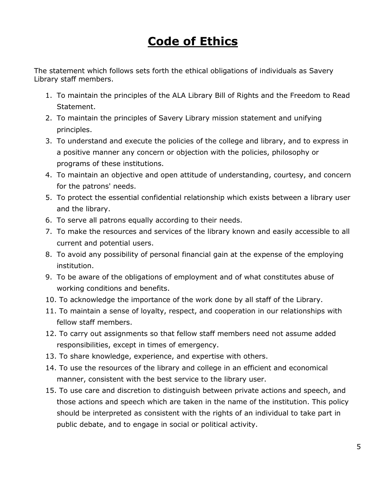# **Code of Ethics**

The statement which follows sets forth the ethical obligations of individuals as Savery Library staff members.

- 1. To maintain the principles of the ALA Library Bill of Rights and the Freedom to Read Statement.
- 2. To maintain the principles of Savery Library mission statement and unifying principles.
- 3. To understand and execute the policies of the college and library, and to express in a positive manner any concern or objection with the policies, philosophy or programs of these institutions.
- 4. To maintain an objective and open attitude of understanding, courtesy, and concern for the patrons' needs.
- 5. To protect the essential confidential relationship which exists between a library user and the library.
- 6. To serve all patrons equally according to their needs.
- 7. To make the resources and services of the library known and easily accessible to all current and potential users.
- 8. To avoid any possibility of personal financial gain at the expense of the employing institution.
- 9. To be aware of the obligations of employment and of what constitutes abuse of working conditions and benefits.
- 10. To acknowledge the importance of the work done by all staff of the Library.
- 11. To maintain a sense of loyalty, respect, and cooperation in our relationships with fellow staff members.
- 12. To carry out assignments so that fellow staff members need not assume added responsibilities, except in times of emergency.
- 13. To share knowledge, experience, and expertise with others.
- 14. To use the resources of the library and college in an efficient and economical manner, consistent with the best service to the library user.
- 15. To use care and discretion to distinguish between private actions and speech, and those actions and speech which are taken in the name of the institution. This policy should be interpreted as consistent with the rights of an individual to take part in public debate, and to engage in social or political activity.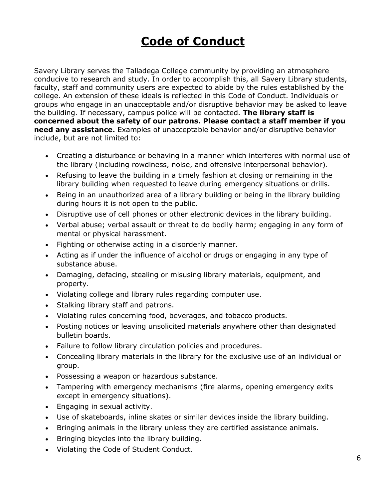# **Code of Conduct**

Savery Library serves the Talladega College community by providing an atmosphere conducive to research and study. In order to accomplish this, all Savery Library students, faculty, staff and community users are expected to abide by the rules established by the college. An extension of these ideals is reflected in this Code of Conduct. Individuals or groups who engage in an unacceptable and/or disruptive behavior may be asked to leave the building. If necessary, campus police will be contacted. **The library staff is concerned about the safety of our patrons. Please contact a staff member if you need any assistance.** Examples of unacceptable behavior and/or disruptive behavior include, but are not limited to:

- Creating a disturbance or behaving in a manner which interferes with normal use of the library (including rowdiness, noise, and offensive interpersonal behavior).
- Refusing to leave the building in a timely fashion at closing or remaining in the library building when requested to leave during emergency situations or drills.
- Being in an unauthorized area of a library building or being in the library building during hours it is not open to the public.
- Disruptive use of cell phones or other electronic devices in the library building.
- Verbal abuse; verbal assault or threat to do bodily harm; engaging in any form of mental or physical harassment.
- Fighting or otherwise acting in a disorderly manner.
- Acting as if under the influence of alcohol or drugs or engaging in any type of substance abuse.
- Damaging, defacing, stealing or misusing library materials, equipment, and property.
- Violating college and library rules regarding computer use.
- Stalking library staff and patrons.
- Violating rules concerning food, beverages, and tobacco products.
- Posting notices or leaving unsolicited materials anywhere other than designated bulletin boards.
- Failure to follow library circulation policies and procedures.
- Concealing library materials in the library for the exclusive use of an individual or group.
- Possessing a weapon or hazardous substance.
- Tampering with emergency mechanisms (fire alarms, opening emergency exits except in emergency situations).
- Engaging in sexual activity.
- Use of skateboards, inline skates or similar devices inside the library building.
- Bringing animals in the library unless they are certified assistance animals.
- Bringing bicycles into the library building.
- Violating the Code of Student Conduct.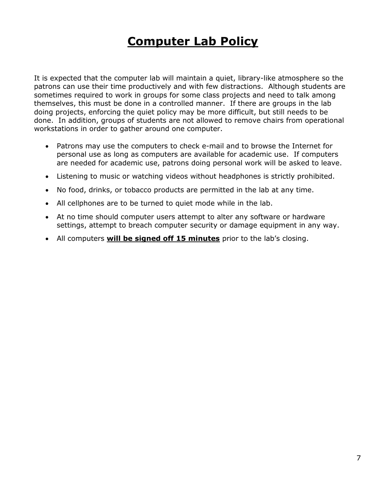# **Computer Lab Policy**

It is expected that the computer lab will maintain a quiet, library-like atmosphere so the patrons can use their time productively and with few distractions. Although students are sometimes required to work in groups for some class projects and need to talk among themselves, this must be done in a controlled manner. If there are groups in the lab doing projects, enforcing the quiet policy may be more difficult, but still needs to be done. In addition, groups of students are not allowed to remove chairs from operational workstations in order to gather around one computer.

- Patrons may use the computers to check e-mail and to browse the Internet for personal use as long as computers are available for academic use. If computers are needed for academic use, patrons doing personal work will be asked to leave.
- Listening to music or watching videos without headphones is strictly prohibited.
- No food, drinks, or tobacco products are permitted in the lab at any time.
- All cellphones are to be turned to quiet mode while in the lab.
- At no time should computer users attempt to alter any software or hardware settings, attempt to breach computer security or damage equipment in any way.
- All computers **will be signed off 15 minutes** prior to the lab's closing.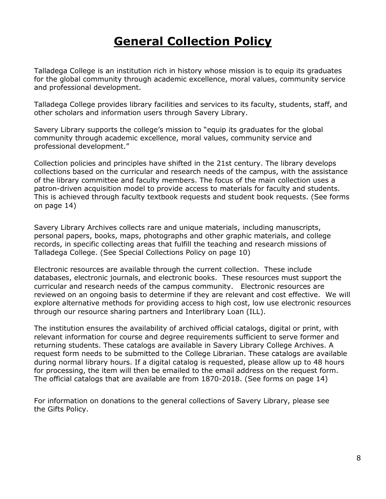# **General Collection Policy**

Talladega College is an institution rich in history whose mission is to equip its graduates for the global community through academic excellence, moral values, community service and professional development.

Talladega College provides library facilities and services to its faculty, students, staff, and other scholars and information users through Savery Library.

Savery Library supports the college's mission to "equip its graduates for the global community through academic excellence, moral values, community service and professional development."

Collection policies and principles have shifted in the 21st century. The library develops collections based on the curricular and research needs of the campus, with the assistance of the library committee and faculty members. The focus of the main collection uses a patron-driven acquisition model to provide access to materials for faculty and students. This is achieved through faculty textbook requests and student book requests. (See forms on page 14)

Savery Library Archives collects rare and unique materials, including manuscripts, personal papers, books, maps, photographs and other graphic materials, and college records, in specific collecting areas that fulfill the teaching and research missions of Talladega College. (See Special Collections Policy on page 10)

Electronic resources are available through the current collection. These include databases, electronic journals, and electronic books. These resources must support the curricular and research needs of the campus community. Electronic resources are reviewed on an ongoing basis to determine if they are relevant and cost effective. We will explore alternative methods for providing access to high cost, low use electronic resources through our resource sharing partners and Interlibrary Loan (ILL).

The institution ensures the availability of archived official catalogs, digital or print, with relevant information for course and degree requirements sufficient to serve former and returning students. These catalogs are available in Savery Library College Archives. A request form needs to be submitted to the College Librarian. These catalogs are available during normal library hours. If a digital catalog is requested, please allow up to 48 hours for processing, the item will then be emailed to the email address on the request form. The official catalogs that are available are from 1870-2018. (See forms on page 14)

For information on donations to the general collections of Savery Library, please see the Gifts Policy.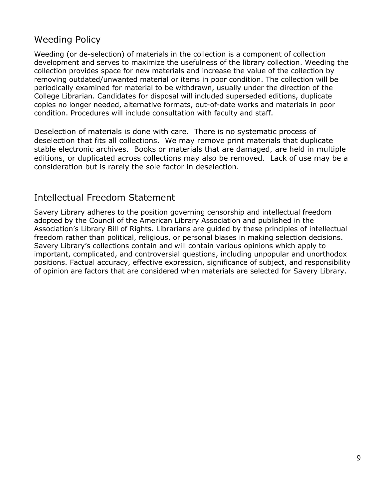# Weeding Policy

Weeding (or de-selection) of materials in the collection is a component of collection development and serves to maximize the usefulness of the library collection. Weeding the collection provides space for new materials and increase the value of the collection by removing outdated/unwanted material or items in poor condition. The collection will be periodically examined for material to be withdrawn, usually under the direction of the College Librarian. Candidates for disposal will included superseded editions, duplicate copies no longer needed, alternative formats, out-of-date works and materials in poor condition. Procedures will include consultation with faculty and staff.

Deselection of materials is done with care. There is no systematic process of deselection that fits all collections. We may remove print materials that duplicate stable electronic archives. Books or materials that are damaged, are held in multiple editions, or duplicated across collections may also be removed. Lack of use may be a consideration but is rarely the sole factor in deselection.

### Intellectual Freedom Statement

Savery Library adheres to the position governing censorship and intellectual freedom adopted by the Council of the American Library Association and published in the Association's Library Bill of Rights. Librarians are guided by these principles of intellectual freedom rather than political, religious, or personal biases in making selection decisions. Savery Library's collections contain and will contain various opinions which apply to important, complicated, and controversial questions, including unpopular and unorthodox positions. Factual accuracy, effective expression, significance of subject, and responsibility of opinion are factors that are considered when materials are selected for Savery Library.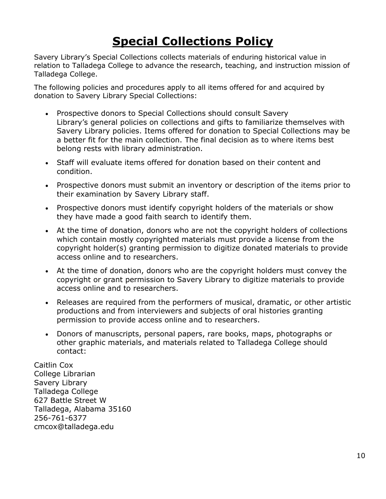# **Special Collections Policy**

Savery Library's Special Collections collects materials of enduring historical value in relation to Talladega College to advance the research, teaching, and instruction mission of Talladega College.

The following policies and procedures apply to all items offered for and acquired by donation to Savery Library Special Collections:

- Prospective donors to Special Collections should consult Savery Library's general policies on collections and gifts to familiarize themselves with Savery Library policies. Items offered for donation to Special Collections may be a better fit for the main collection. The final decision as to where items best belong rests with library administration.
- Staff will evaluate items offered for donation based on their content and condition.
- Prospective donors must submit an inventory or description of the items prior to their examination by Savery Library staff.
- Prospective donors must identify copyright holders of the materials or show they have made a good faith search to identify them.
- At the time of donation, donors who are not the copyright holders of collections which contain mostly copyrighted materials must provide a license from the copyright holder(s) granting permission to digitize donated materials to provide access online and to researchers.
- At the time of donation, donors who are the copyright holders must convey the copyright or grant permission to Savery Library to digitize materials to provide access online and to researchers.
- Releases are required from the performers of musical, dramatic, or other artistic productions and from interviewers and subjects of oral histories granting permission to provide access online and to researchers.
- Donors of manuscripts, personal papers, rare books, maps, photographs or other graphic materials, and materials related to Talladega College should contact:

Caitlin Cox College Librarian Savery Library Talladega College 627 Battle Street W Talladega, Alabama 35160 256-761-6377 cmcox@talladega.edu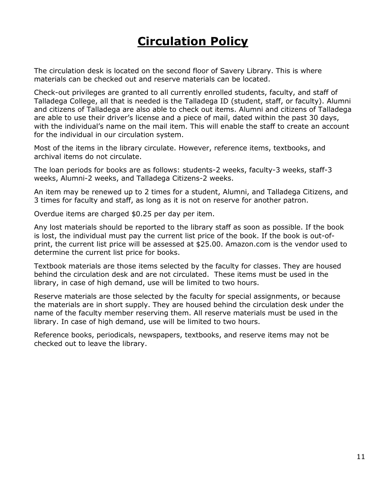# **Circulation Policy**

The circulation desk is located on the second floor of Savery Library. This is where materials can be checked out and reserve materials can be located.

Check-out privileges are granted to all currently enrolled students, faculty, and staff of Talladega College, all that is needed is the Talladega ID (student, staff, or faculty). Alumni and citizens of Talladega are also able to check out items. Alumni and citizens of Talladega are able to use their driver's license and a piece of mail, dated within the past 30 days, with the individual's name on the mail item. This will enable the staff to create an account for the individual in our circulation system.

Most of the items in the library circulate. However, reference items, textbooks, and archival items do not circulate.

The loan periods for books are as follows: students-2 weeks, faculty-3 weeks, staff-3 weeks, Alumni-2 weeks, and Talladega Citizens-2 weeks.

An item may be renewed up to 2 times for a student, Alumni, and Talladega Citizens, and 3 times for faculty and staff, as long as it is not on reserve for another patron.

Overdue items are charged \$0.25 per day per item.

Any lost materials should be reported to the library staff as soon as possible. If the book is lost, the individual must pay the current list price of the book. If the book is out-ofprint, the current list price will be assessed at \$25.00. Amazon.com is the vendor used to determine the current list price for books.

Textbook materials are those items selected by the faculty for classes. They are housed behind the circulation desk and are not circulated. These items must be used in the library, in case of high demand, use will be limited to two hours.

Reserve materials are those selected by the faculty for special assignments, or because the materials are in short supply. They are housed behind the circulation desk under the name of the faculty member reserving them. All reserve materials must be used in the library. In case of high demand, use will be limited to two hours.

Reference books, periodicals, newspapers, textbooks, and reserve items may not be checked out to leave the library.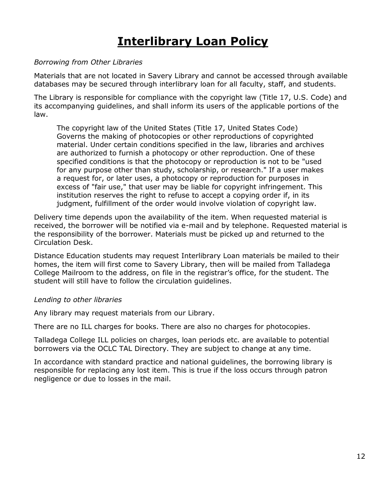# **Interlibrary Loan Policy**

#### *Borrowing from Other Libraries*

Materials that are not located in Savery Library and cannot be accessed through available databases may be secured through interlibrary loan for all faculty, staff, and students.

The Library is responsible for compliance with the copyright law (Title 17, U.S. Code) and its accompanying guidelines, and shall inform its users of the applicable portions of the law.

The copyright law of the United States (Title 17, United States Code) Governs the making of photocopies or other reproductions of copyrighted material. Under certain conditions specified in the law, libraries and archives are authorized to furnish a photocopy or other reproduction. One of these specified conditions is that the photocopy or reproduction is not to be "used for any purpose other than study, scholarship, or research." If a user makes a request for, or later uses, a photocopy or reproduction for purposes in excess of "fair use," that user may be liable for copyright infringement. This institution reserves the right to refuse to accept a copying order if, in its judgment, fulfillment of the order would involve violation of copyright law.

Delivery time depends upon the availability of the item. When requested material is received, the borrower will be notified via e-mail and by telephone. Requested material is the responsibility of the borrower. Materials must be picked up and returned to the Circulation Desk.

Distance Education students may request Interlibrary Loan materials be mailed to their homes, the item will first come to Savery Library, then will be mailed from Talladega College Mailroom to the address, on file in the registrar's office, for the student. The student will still have to follow the circulation guidelines.

#### *Lending to other libraries*

Any library may request materials from our Library.

There are no ILL charges for books. There are also no charges for photocopies.

Talladega College ILL policies on charges, loan periods etc. are available to potential borrowers via the OCLC TAL Directory. They are subject to change at any time.

In accordance with standard practice and national guidelines, the borrowing library is responsible for replacing any lost item. This is true if the loss occurs through patron negligence or due to losses in the mail.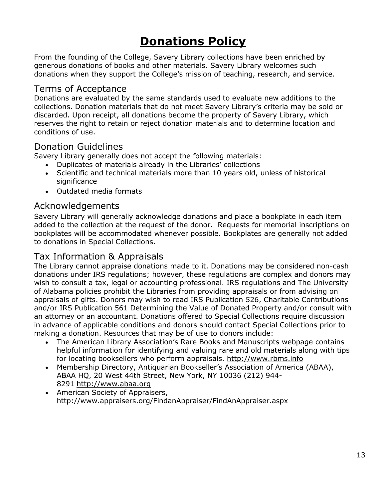# **Donations Policy**

From the founding of the College, Savery Library collections have been enriched by generous donations of books and other materials. Savery Library welcomes such donations when they support the College's mission of teaching, research, and service.

### Terms of Acceptance

Donations are evaluated by the same standards used to evaluate new additions to the collections. Donation materials that do not meet Savery Library's criteria may be sold or discarded. Upon receipt, all donations become the property of Savery Library, which reserves the right to retain or reject donation materials and to determine location and conditions of use.

### Donation Guidelines

Savery Library generally does not accept the following materials:

- Duplicates of materials already in the Libraries' collections
- Scientific and technical materials more than 10 years old, unless of historical significance
- Outdated media formats

### Acknowledgements

Savery Library will generally acknowledge donations and place a bookplate in each item added to the collection at the request of the donor. Requests for memorial inscriptions on bookplates will be accommodated whenever possible. Bookplates are generally not added to donations in Special Collections.

## Tax Information & Appraisals

The Library cannot appraise donations made to it. Donations may be considered non-cash donations under IRS regulations; however, these regulations are complex and donors may wish to consult a tax, legal or accounting professional. IRS regulations and The University of Alabama policies prohibit the Libraries from providing appraisals or from advising on appraisals of gifts. Donors may wish to read IRS Publication 526, Charitable Contributions and/or IRS Publication 561 Determining the Value of Donated Property and/or consult with an attorney or an accountant. Donations offered to Special Collections require discussion in advance of applicable conditions and donors should contact Special Collections prior to making a donation. Resources that may be of use to donors include:

- The American Library Association's Rare Books and Manuscripts webpage contains helpful information for identifying and valuing rare and old materials along with tips for locating booksellers who perform appraisals. [http://www.rbms.info](http://www.rbms.info/)
- Membership Directory, Antiquarian Bookseller's Association of America (ABAA), ABAA HQ, 20 West 44th Street, New York, NY 10036 (212) 944- 8291 [http://www.abaa.org](http://www.abaa.org/)
- American Society of Appraisers, <http://www.appraisers.org/FindanAppraiser/FindAnAppraiser.aspx>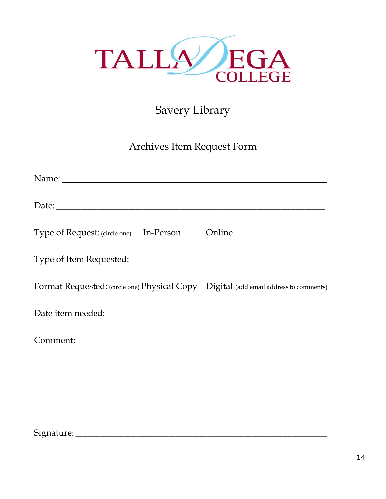

# Savery Library

# Archives Item Request Form

| Type of Request: (circle one) In-Person Online                                       |  |
|--------------------------------------------------------------------------------------|--|
|                                                                                      |  |
| Format Requested: (circle one) Physical Copy Digital (add email address to comments) |  |
|                                                                                      |  |
| Comment:                                                                             |  |
|                                                                                      |  |
|                                                                                      |  |
|                                                                                      |  |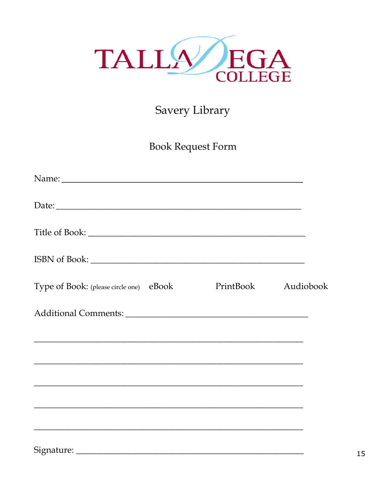

# Savery Library

**Book Request Form** 

| Type of Book: (please circle one) eBook                                                                               | PrintBook | Audiobook |
|-----------------------------------------------------------------------------------------------------------------------|-----------|-----------|
|                                                                                                                       |           |           |
|                                                                                                                       |           |           |
| ,我们也不能在这里的时候,我们也不能在这里的时候,我们也不能会在这里的时候,我们也不能会在这里的时候,我们也不能会在这里的时候,我们也不能会在这里的时候,我们也                                      |           |           |
| <u> 1989 - Johann Stoff, deutscher Stoff, der Stoff, der Stoff, der Stoff, der Stoff, der Stoff, der Stoff, der S</u> |           |           |
|                                                                                                                       |           |           |
|                                                                                                                       |           |           |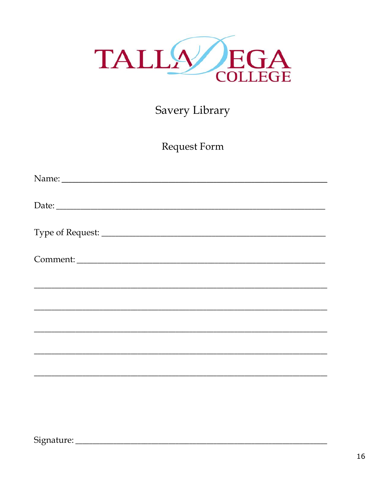

# Savery Library

Request Form

| Comment:                                                                                                              |
|-----------------------------------------------------------------------------------------------------------------------|
| <u> 1989 - Johann Harry Harry Harry Harry Harry Harry Harry Harry Harry Harry Harry Harry Harry Harry Harry Harry</u> |
|                                                                                                                       |
|                                                                                                                       |
|                                                                                                                       |
|                                                                                                                       |
|                                                                                                                       |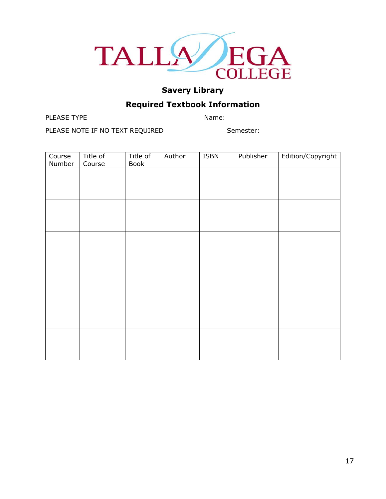

### **Required Textbook Information**

PLEASE TYPE Name:

PLEASE NOTE IF NO TEXT REQUIRED Semester:

**Course** Number Title of Course Title of Book Author ISBN Publisher Edition/Copyright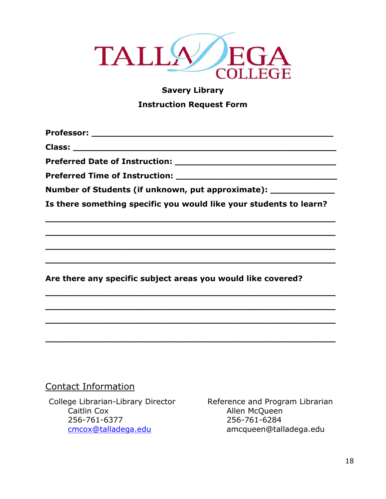

# **Savery Library Instruction Request Form**

**Professor: \_\_\_\_\_\_\_\_\_\_\_\_\_\_\_\_\_\_\_\_\_\_\_\_\_\_\_\_\_\_\_\_\_\_\_\_\_\_\_\_\_\_\_\_\_**

**Class: \_\_\_\_\_\_\_\_\_\_\_\_\_\_\_\_\_\_\_\_\_\_\_\_\_\_\_\_\_\_\_\_\_\_\_\_\_\_\_\_\_\_\_\_\_\_\_\_\_**

**Preferred Date of Instruction: \_\_\_\_\_\_\_\_\_\_\_\_\_\_\_\_\_\_\_\_\_\_\_\_\_\_\_\_\_\_**

**Preferred Time of Instruction: We are all that the set of the set of the set of the set of the set of the set of the set of the set of the set of the set of the set of the set of the set of the set of the set of the set** 

**Number of Students (if unknown, put approximate): \_\_\_\_\_\_\_\_\_\_\_\_**

**Is there something specific you would like your students to learn?**

**\_\_\_\_\_\_\_\_\_\_\_\_\_\_\_\_\_\_\_\_\_\_\_\_\_\_\_\_\_\_\_\_\_\_\_\_\_\_\_\_\_\_\_\_\_\_\_\_\_\_\_\_\_\_**

**\_\_\_\_\_\_\_\_\_\_\_\_\_\_\_\_\_\_\_\_\_\_\_\_\_\_\_\_\_\_\_\_\_\_\_\_\_\_\_\_\_\_\_\_\_\_\_\_\_\_\_\_\_\_**

**\_\_\_\_\_\_\_\_\_\_\_\_\_\_\_\_\_\_\_\_\_\_\_\_\_\_\_\_\_\_\_\_\_\_\_\_\_\_\_\_\_\_\_\_\_\_\_\_\_\_\_\_\_\_**

**\_\_\_\_\_\_\_\_\_\_\_\_\_\_\_\_\_\_\_\_\_\_\_\_\_\_\_\_\_\_\_\_\_\_\_\_\_\_\_\_\_\_\_\_\_\_\_\_\_\_\_\_\_\_**

**\_\_\_\_\_\_\_\_\_\_\_\_\_\_\_\_\_\_\_\_\_\_\_\_\_\_\_\_\_\_\_\_\_\_\_\_\_\_\_\_\_\_\_\_\_\_\_\_\_\_\_\_\_\_**

**\_\_\_\_\_\_\_\_\_\_\_\_\_\_\_\_\_\_\_\_\_\_\_\_\_\_\_\_\_\_\_\_\_\_\_\_\_\_\_\_\_\_\_\_\_\_\_\_\_\_\_\_\_\_**

**\_\_\_\_\_\_\_\_\_\_\_\_\_\_\_\_\_\_\_\_\_\_\_\_\_\_\_\_\_\_\_\_\_\_\_\_\_\_\_\_\_\_\_\_\_\_\_\_\_\_\_\_\_\_**

**\_\_\_\_\_\_\_\_\_\_\_\_\_\_\_\_\_\_\_\_\_\_\_\_\_\_\_\_\_\_\_\_\_\_\_\_\_\_\_\_\_\_\_\_\_\_\_\_\_\_\_\_\_\_**

**Are there any specific subject areas you would like covered?** 

### Contact Information

College Librarian-Library Director Reference and Program Librarian Caitlin Cox Allen McQueen 256-761-6377 256-761-6284

[cmcox@talladega.edu](mailto:cmcox@talladega.edu) amcqueen@talladega.edu